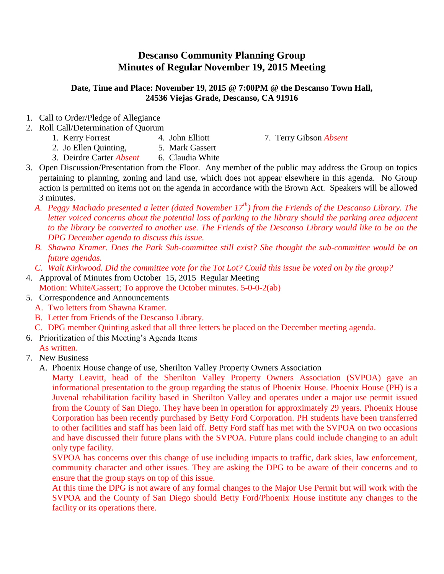## **Descanso Community Planning Group Minutes of Regular November 19, 2015 Meeting**

## **Date, Time and Place: November 19, 2015 @ 7:00PM @ the Descanso Town Hall, 24536 Viejas Grade, Descanso, CA 91916**

- 1. Call to Order/Pledge of Allegiance
- 2. Roll Call/Determination of Quorum
	-
	- 1. Kerry Forrest 4. John Elliott 7. Terry Gibson *Absent*
	- 2. Jo Ellen Quinting, 5. Mark Gassert
	- 3. Deirdre Carter *Absent* 6. Claudia White
- 3. Open Discussion/Presentation from the Floor. Any member of the public may address the Group on topics pertaining to planning, zoning and land use, which does not appear elsewhere in this agenda. No Group action is permitted on items not on the agenda in accordance with the Brown Act. Speakers will be allowed 3 minutes.
	- *A. Peggy Machado presented a letter (dated November 17th) from the Friends of the Descanso Library. The letter voiced concerns about the potential loss of parking to the library should the parking area adjacent to the library be converted to another use. The Friends of the Descanso Library would like to be on the DPG December agenda to discuss this issue.*
	- *B. Shawna Kramer. Does the Park Sub-committee still exist? She thought the sub-committee would be on future agendas.*
	- *C. Walt Kirkwood. Did the committee vote for the Tot Lot? Could this issue be voted on by the group?*
- 4. Approval of Minutes from October 15, 2015 Regular Meeting Motion: White/Gassert; To approve the October minutes. 5-0-0-2(ab)
- 5. Correspondence and Announcements
	- A. Two letters from Shawna Kramer.
	- B. Letter from Friends of the Descanso Library.
	- C. DPG member Quinting asked that all three letters be placed on the December meeting agenda.
- 6. Prioritization of this Meeting's Agenda Items As written.
- 7. New Business
	- A. Phoenix House change of use, Sherilton Valley Property Owners Association

Marty Leavitt, head of the Sherilton Valley Property Owners Association (SVPOA) gave an informational presentation to the group regarding the status of Phoenix House. Phoenix House (PH) is a Juvenal rehabilitation facility based in Sherilton Valley and operates under a major use permit issued from the County of San Diego. They have been in operation for approximately 29 years. Phoenix House Corporation has been recently purchased by Betty Ford Corporation. PH students have been transferred to other facilities and staff has been laid off. Betty Ford staff has met with the SVPOA on two occasions and have discussed their future plans with the SVPOA. Future plans could include changing to an adult only type facility.

SVPOA has concerns over this change of use including impacts to traffic, dark skies, law enforcement, community character and other issues. They are asking the DPG to be aware of their concerns and to ensure that the group stays on top of this issue.

At this time the DPG is not aware of any formal changes to the Major Use Permit but will work with the SVPOA and the County of San Diego should Betty Ford/Phoenix House institute any changes to the facility or its operations there.